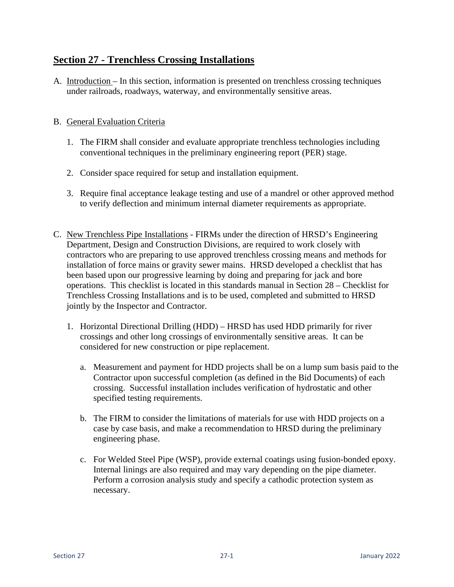## **Section 27 - Trenchless Crossing Installations**

A. Introduction – In this section, information is presented on trenchless crossing techniques under railroads, roadways, waterway, and environmentally sensitive areas.

## B. General Evaluation Criteria

- 1. The FIRM shall consider and evaluate appropriate trenchless technologies including conventional techniques in the preliminary engineering report (PER) stage.
- 2. Consider space required for setup and installation equipment.
- 3. Require final acceptance leakage testing and use of a mandrel or other approved method to verify deflection and minimum internal diameter requirements as appropriate.
- C. New Trenchless Pipe Installations FIRMs under the direction of HRSD's Engineering Department, Design and Construction Divisions, are required to work closely with contractors who are preparing to use approved trenchless crossing means and methods for installation of force mains or gravity sewer mains. HRSD developed a checklist that has been based upon our progressive learning by doing and preparing for jack and bore operations. This checklist is located in this standards manual in Section 28 – Checklist for Trenchless Crossing Installations and is to be used, completed and submitted to HRSD jointly by the Inspector and Contractor.
	- 1. Horizontal Directional Drilling (HDD) HRSD has used HDD primarily for river crossings and other long crossings of environmentally sensitive areas. It can be considered for new construction or pipe replacement.
		- a. Measurement and payment for HDD projects shall be on a lump sum basis paid to the Contractor upon successful completion (as defined in the Bid Documents) of each crossing. Successful installation includes verification of hydrostatic and other specified testing requirements.
		- b. The FIRM to consider the limitations of materials for use with HDD projects on a case by case basis, and make a recommendation to HRSD during the preliminary engineering phase.
		- c. For Welded Steel Pipe (WSP), provide external coatings using fusion-bonded epoxy. Internal linings are also required and may vary depending on the pipe diameter. Perform a corrosion analysis study and specify a cathodic protection system as necessary.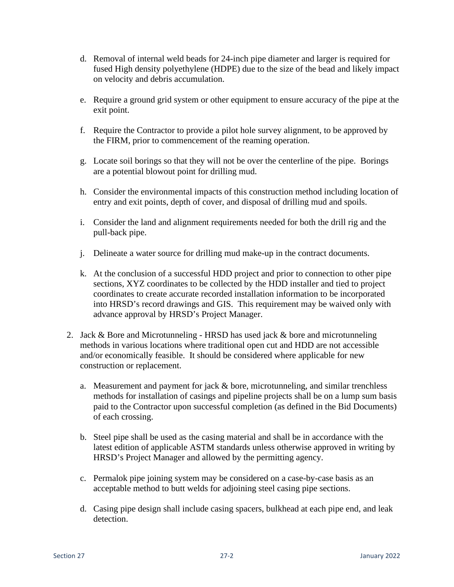- d. Removal of internal weld beads for 24-inch pipe diameter and larger is required for fused High density polyethylene (HDPE) due to the size of the bead and likely impact on velocity and debris accumulation.
- e. Require a ground grid system or other equipment to ensure accuracy of the pipe at the exit point.
- f. Require the Contractor to provide a pilot hole survey alignment, to be approved by the FIRM, prior to commencement of the reaming operation.
- g. Locate soil borings so that they will not be over the centerline of the pipe. Borings are a potential blowout point for drilling mud.
- h. Consider the environmental impacts of this construction method including location of entry and exit points, depth of cover, and disposal of drilling mud and spoils.
- i. Consider the land and alignment requirements needed for both the drill rig and the pull-back pipe.
- j. Delineate a water source for drilling mud make-up in the contract documents.
- k. At the conclusion of a successful HDD project and prior to connection to other pipe sections, XYZ coordinates to be collected by the HDD installer and tied to project coordinates to create accurate recorded installation information to be incorporated into HRSD's record drawings and GIS. This requirement may be waived only with advance approval by HRSD's Project Manager.
- 2. Jack & Bore and Microtunneling HRSD has used jack & bore and microtunneling methods in various locations where traditional open cut and HDD are not accessible and/or economically feasible. It should be considered where applicable for new construction or replacement.
	- a. Measurement and payment for jack & bore, microtunneling, and similar trenchless methods for installation of casings and pipeline projects shall be on a lump sum basis paid to the Contractor upon successful completion (as defined in the Bid Documents) of each crossing.
	- b. Steel pipe shall be used as the casing material and shall be in accordance with the latest edition of applicable ASTM standards unless otherwise approved in writing by HRSD's Project Manager and allowed by the permitting agency.
	- c. Permalok pipe joining system may be considered on a case-by-case basis as an acceptable method to butt welds for adjoining steel casing pipe sections.
	- d. Casing pipe design shall include casing spacers, bulkhead at each pipe end, and leak detection.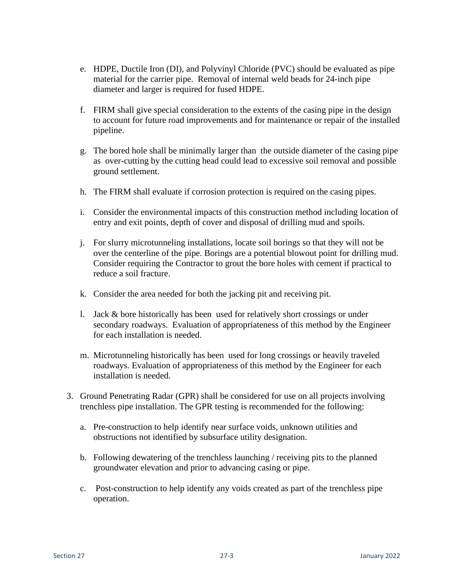- e. HDPE, Ductile Iron (DI), and Polyvinyl Chloride (PVC) should be evaluated as pipe material for the carrier pipe. Removal of internal weld beads for 24-inch pipe diameter and larger is required for fused HDPE.
- f. FIRM shall give special consideration to the extents of the casing pipe in the design to account for future road improvements and for maintenance or repair of the installed pipeline.
- g. The bored hole shall be minimally larger than the outside diameter of the casing pipe as over-cutting by the cutting head could lead to excessive soil removal and possible ground settlement.
- h. The FIRM shall evaluate if corrosion protection is required on the casing pipes.
- i. Consider the environmental impacts of this construction method including location of entry and exit points, depth of cover and disposal of drilling mud and spoils.
- j. For slurry microtunneling installations, locate soil borings so that they will not be over the centerline of the pipe. Borings are a potential blowout point for drilling mud. Consider requiring the Contractor to grout the bore holes with cement if practical to reduce a soil fracture.
- k. Consider the area needed for both the jacking pit and receiving pit.
- l. Jack & bore historically has been used for relatively short crossings or under secondary roadways. Evaluation of appropriateness of this method by the Engineer for each installation is needed.
- m. Microtunneling historically has been used for long crossings or heavily traveled roadways. Evaluation of appropriateness of this method by the Engineer for each installation is needed.
- 3. Ground Penetrating Radar (GPR) shall be considered for use on all projects involving trenchless pipe installation. The GPR testing is recommended for the following:
	- a. Pre-construction to help identify near surface voids, unknown utilities and obstructions not identified by subsurface utility designation.
	- b. Following dewatering of the trenchless launching / receiving pits to the planned groundwater elevation and prior to advancing casing or pipe.
	- c. Post-construction to help identify any voids created as part of the trenchless pipe operation.